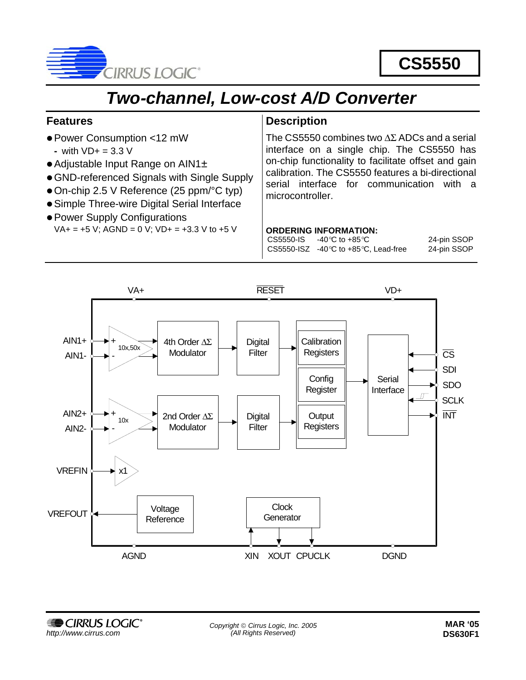

# **CS5550**

# *Two-channel, Low-cost A/D Converter*

### **Features**

- Power Consumption <12 mW
	- **-** with VD+ = 3.3 V
- Adjustable Input Range on AIN1±
- GND-referenced Signals with Single Supply
- $\bullet$  On-chip 2.5 V Reference (25 ppm/ $\degree$ C typ)
- Simple Three-wire Digital Serial Interface
- Power Supply Configurations  $VA+ = +5 V$ ; AGND = 0 V;  $VD+ = +3.3 V$  to +5 V

### **Description**

The CS5550 combines two ∆Σ ADCs and a serial interface on a single chip. The CS5550 has on-chip functionality to facilitate offset and gain calibration. The CS5550 features a bi-directional serial interface for communication with a microcontroller.

#### **ORDERING INFORMATION:**

 $CS5550$ -IS  $-40^{\circ}$ C to  $+85^{\circ}$ C 24-pin SSOP CS5550-ISZ -40°C to +85°C, Lead-free 24-pin SSOP

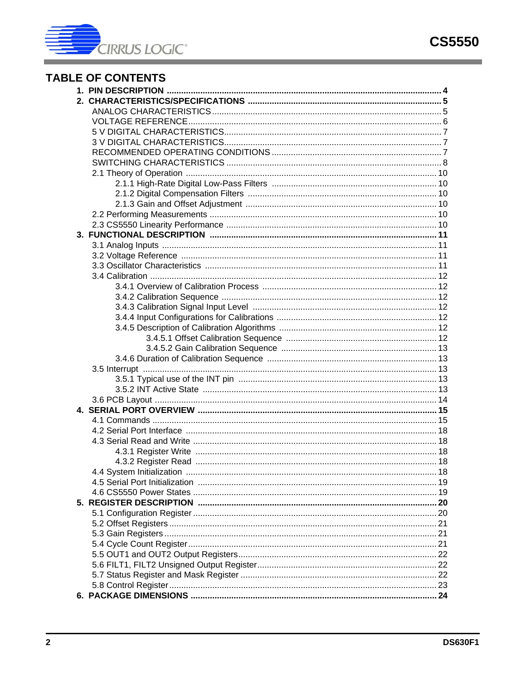

# **TABLE OF CONTENTS**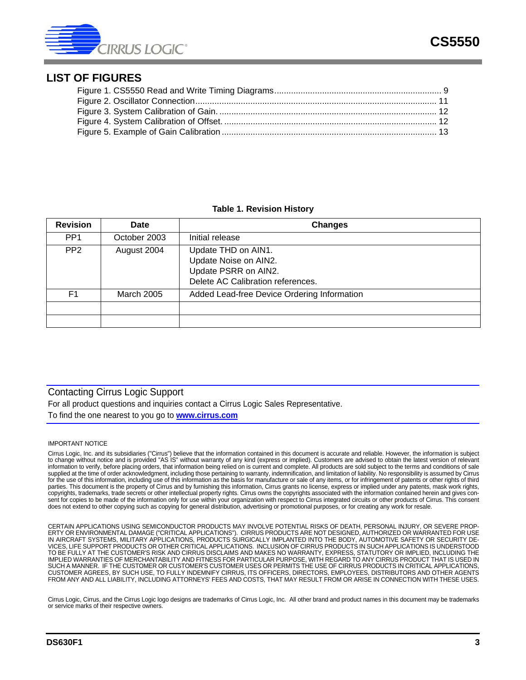

#### **LIST OF FIGURES**

#### **Table 1. Revision History**

| <b>Revision</b> | Date         | <b>Changes</b>                                                                                            |
|-----------------|--------------|-----------------------------------------------------------------------------------------------------------|
| PP <sub>1</sub> | October 2003 | Initial release                                                                                           |
| PP <sub>2</sub> | August 2004  | Update THD on AIN1.<br>Update Noise on AIN2.<br>Update PSRR on AIN2.<br>Delete AC Calibration references. |
| F1              | March 2005   | Added Lead-free Device Ordering Information                                                               |
|                 |              |                                                                                                           |
|                 |              |                                                                                                           |

### Contacting Cirrus Logic Support

For all product questions and inquiries contact a Cirrus Logic Sales Representative. To find the one nearest to you go to **www.cirrus.com**

#### IMPORTANT NOTICE

Cirrus Logic, Inc. and its subsidiaries ("Cirrus") believe that the information contained in this document is accurate and reliable. However, the information is subject to change without notice and is provided "AS IS" without warranty of any kind (express or implied). Customers are advised to obtain the latest version of relevant information to verify, before placing orders, that information being relied on is current and complete. All products are sold subject to the terms and conditions of sale supplied at the time of order acknowledgment, including those pertaining to warranty, indemnification, and limitation of liability. No responsibility is assumed by Cirrus for the use of this information, including use of this information as the basis for manufacture or sale of any items, or for infringement of patents or other rights of third parties. This document is the property of Cirrus and by furnishing this information, Cirrus grants no license, express or implied under any patents, mask work rights, copyrights, trademarks, trade secrets or other intellectual property rights. Cirrus owns the copyrights associated with the information contained herein and gives consent for copies to be made of the information only for use within your organization with respect to Cirrus integrated circuits or other products of Cirrus. This consent does not extend to other copying such as copying for general distribution, advertising or promotional purposes, or for creating any work for resale.

CERTAIN APPLICATIONS USING SEMICONDUCTOR PRODUCTS MAY INVOLVE POTENTIAL RISKS OF DEATH, PERSONAL INJURY, OR SEVERE PROP-ERTY OR ENVIRONMENTAL DAMAGE ("CRITICAL APPLICATIONS"). CIRRUS PRODUCTS ARE NOT DESIGNED, AUTHORIZED OR WARRANTED FOR USE IN AIRCRAFT SYSTEMS, MILITARY APPLICATIONS, PRODUCTS SURGICALLY IMPLANTED INTO THE BODY, AUTOMOTIVE SAFETY OR SECURITY DE-VICES, LIFE SUPPORT PRODUCTS OR OTHER CRITICAL APPLICATIONS. INCLUSION OF CIRRUS PRODUCTS IN SUCH APPLICATIONS IS UNDERSTOOD<br>TO BE FULLY AT THE CUSTOMER'S RISK AND CIRRUS DISCLAIMS AND MAKES NO WARRANTY, EXPRESS, STATUTORY IMPLIED WARRANTIES OF MERCHANTABILITY AND FITNESS FOR PARTICULAR PURPOSE, WITH REGARD TO ANY CIRRUS PRODUCT THAT IS USED IN SUCH A MANNER. IF THE CUSTOMER OR CUSTOMER'S CUSTOMER USES OR PERMITS THE USE OF CIRRUS PRODUCTS IN CRITICAL APPLICATIONS,<br>CUSTOMER AGREES, BY SUCH USE, TO FULLY INDEMNIFY CIRRUS, ITS OFFICERS, DIRECTORS, EMPLOYEES, DISTRI

Cirrus Logic, Cirrus, and the Cirrus Logic logo designs are trademarks of Cirrus Logic, Inc. All other brand and product names in this document may be trademarks or service marks of their respective owners.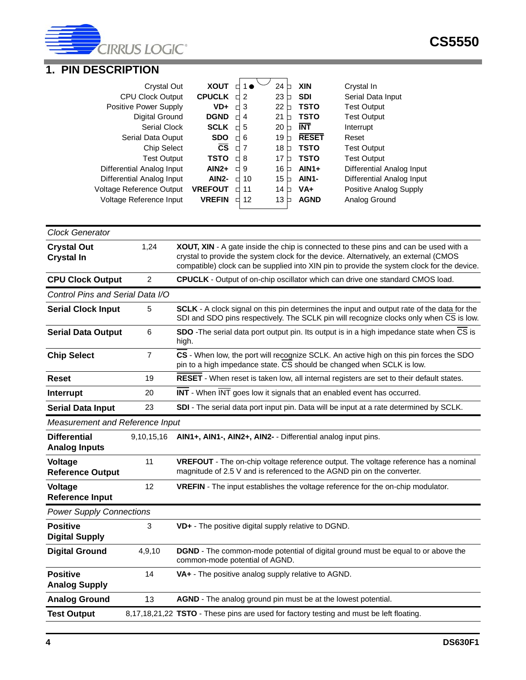

# <span id="page-3-0"></span>**1. PIN DESCRIPTION**

| Crystal Out                     | <b>XOUT</b>            |   | 1● | 24      | <b>XIN</b>         | Crystal In                |
|---------------------------------|------------------------|---|----|---------|--------------------|---------------------------|
| <b>CPU Clock Output</b>         | <b>CPUCLK</b>          |   | 2  | 23      | <b>SDI</b>         | Serial Data Input         |
| Positive Power Supply           | VD+                    |   | 3  | 22      | <b>TSTO</b>        | <b>Test Output</b>        |
| Digital Ground                  | <b>DGND</b>            |   | 4  | 21      | <b>TSTO</b>        | <b>Test Output</b>        |
| <b>Serial Clock</b>             | <b>SCLK</b>            |   | 5  | 20      | <b>INT</b>         | Interrupt                 |
| Serial Data Ouput               | <b>SDO</b>             | ┑ | 6  | 19      | <b>RESET</b>       | Reset                     |
| <b>Chip Select</b>              | $\overline{\text{cs}}$ | П | 7  | 18      | <b>TSTO</b>        | <b>Test Output</b>        |
| <b>Test Output</b>              | <b>TSTO</b>            |   | 8  | 17      | <b>TSTO</b>        | <b>Test Output</b>        |
| Differential Analog Input       | $AlN2+$                |   | 9  | 16<br>П | $AlN1+$            | Differential Analog Input |
| Differential Analog Input       | AIN <sub>2</sub> -     |   | 10 | 15<br>┑ | AIN <sub>1</sub> - | Differential Analog Input |
| <b>Voltage Reference Output</b> | <b>VREFOUT</b>         | ٦ | 11 | 14      | $VA+$              | Positive Analog Supply    |
| Voltage Reference Input         | <b>VREFIN</b>          | ┑ | 12 | 13      | <b>AGND</b>        | Analog Ground             |
|                                 |                        |   |    |         |                    |                           |

| <b>Clock Generator</b>                      |                |                                                                                                                                                                                                                                                                            |
|---------------------------------------------|----------------|----------------------------------------------------------------------------------------------------------------------------------------------------------------------------------------------------------------------------------------------------------------------------|
| <b>Crystal Out</b><br><b>Crystal In</b>     | 1,24           | XOUT, XIN - A gate inside the chip is connected to these pins and can be used with a<br>crystal to provide the system clock for the device. Alternatively, an external (CMOS<br>compatible) clock can be supplied into XIN pin to provide the system clock for the device. |
| <b>CPU Clock Output</b>                     | $\overline{2}$ | CPUCLK - Output of on-chip oscillator which can drive one standard CMOS load.                                                                                                                                                                                              |
| Control Pins and Serial Data I/O            |                |                                                                                                                                                                                                                                                                            |
| <b>Serial Clock Input</b>                   | 5              | SCLK - A clock signal on this pin determines the input and output rate of the data for the<br>SDI and SDO pins respectively. The SCLK pin will recognize clocks only when CS is low.                                                                                       |
| <b>Serial Data Output</b>                   | 6              | SDO - The serial data port output pin. Its output is in a high impedance state when CS is<br>high.                                                                                                                                                                         |
| <b>Chip Select</b>                          | $\overline{7}$ | CS - When low, the port will recognize SCLK. An active high on this pin forces the SDO<br>pin to a high impedance state. CS should be changed when SCLK is low.                                                                                                            |
| <b>Reset</b>                                | 19             | RESET - When reset is taken low, all internal registers are set to their default states.                                                                                                                                                                                   |
| Interrupt                                   | 20             | INT - When INT goes low it signals that an enabled event has occurred.                                                                                                                                                                                                     |
| <b>Serial Data Input</b>                    | 23             | SDI - The serial data port input pin. Data will be input at a rate determined by SCLK.                                                                                                                                                                                     |
| Measurement and Reference Input             |                |                                                                                                                                                                                                                                                                            |
| <b>Differential</b><br><b>Analog Inputs</b> | 9,10,15,16     | AIN1+, AIN1-, AIN2+, AIN2- - Differential analog input pins.                                                                                                                                                                                                               |
| Voltage<br><b>Reference Output</b>          | 11             | VREFOUT - The on-chip voltage reference output. The voltage reference has a nominal<br>magnitude of 2.5 V and is referenced to the AGND pin on the converter.                                                                                                              |
| Voltage<br><b>Reference Input</b>           | 12             | VREFIN - The input establishes the voltage reference for the on-chip modulator.                                                                                                                                                                                            |
| <b>Power Supply Connections</b>             |                |                                                                                                                                                                                                                                                                            |
| <b>Positive</b><br><b>Digital Supply</b>    | 3              | VD+ - The positive digital supply relative to DGND.                                                                                                                                                                                                                        |
| <b>Digital Ground</b>                       | 4,9,10         | <b>DGND</b> - The common-mode potential of digital ground must be equal to or above the<br>common-mode potential of AGND.                                                                                                                                                  |
| <b>Positive</b><br><b>Analog Supply</b>     | 14             | VA+ - The positive analog supply relative to AGND.                                                                                                                                                                                                                         |
| <b>Analog Ground</b>                        | 13             | AGND - The analog ground pin must be at the lowest potential.                                                                                                                                                                                                              |
| <b>Test Output</b>                          |                | 8,17,18,21,22 TSTO - These pins are used for factory testing and must be left floating.                                                                                                                                                                                    |
|                                             |                |                                                                                                                                                                                                                                                                            |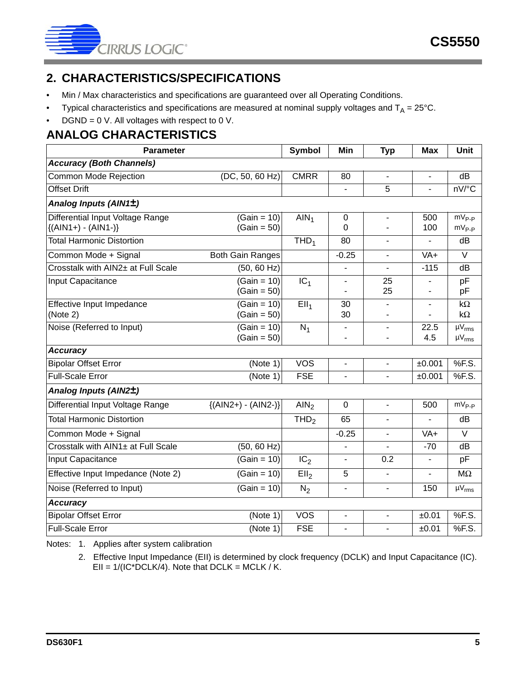

# <span id="page-4-0"></span>**2. CHARACTERISTICS/SPECIFICATIONS**

- Min / Max characteristics and specifications are guaranteed over all Operating Conditions.
- Typical characteristics and specifications are measured at nominal supply voltages and  $T_A = 25^{\circ}$ C.
- DGND = 0 V. All voltages with respect to 0 V.

# <span id="page-4-1"></span>**ANALOG CHARACTERISTICS**

| <b>Parameter</b>                   | <b>Symbol</b>           | Min              | <b>Typ</b>               | <b>Max</b>               | <b>Unit</b>              |                 |
|------------------------------------|-------------------------|------------------|--------------------------|--------------------------|--------------------------|-----------------|
| <b>Accuracy (Both Channels)</b>    |                         |                  |                          |                          |                          |                 |
| Common Mode Rejection              | (DC, 50, 60 Hz)         | <b>CMRR</b>      | 80                       | $\blacksquare$           | $\overline{\phantom{0}}$ | dB              |
| <b>Offset Drift</b>                |                         |                  |                          | 5                        |                          | nV/°C           |
| Analog Inputs (AIN1±)              |                         |                  |                          |                          |                          |                 |
| Differential Input Voltage Range   | $(Gain = 10)$           | AlN <sub>1</sub> | 0                        | $\overline{\phantom{a}}$ | 500                      | $mV_{P-P}$      |
| ${(AlN1+) - (AlN1-) }$             | $(Gain = 50)$           |                  | 0                        |                          | 100                      | $mV_{P-P}$      |
| <b>Total Harmonic Distortion</b>   |                         | THD <sub>1</sub> | 80                       |                          |                          | dB              |
| Common Mode + Signal               | <b>Both Gain Ranges</b> |                  | $-0.25$                  | $\blacksquare$           | VA+                      | $\vee$          |
| Crosstalk with AIN2± at Full Scale | (50, 60 Hz)             |                  | $\overline{\phantom{a}}$ | $\blacksquare$           | $-115$                   | dB              |
| Input Capacitance                  | $(Gain = 10)$           | IC <sub>1</sub>  | $\blacksquare$           | 25                       | $\blacksquare$           | pF              |
|                                    | $(Gain = 50)$           |                  | $\blacksquare$           | 25                       |                          | pF              |
| Effective Input Impedance          | $(Gain = 10)$           | EII <sub>1</sub> | 30                       |                          |                          | $k\Omega$       |
| (Note 2)                           | $(Gain = 50)$           |                  | 30                       |                          |                          | $k\Omega$       |
| Noise (Referred to Input)          | $(Gain = 10)$           | $N_1$            | $\blacksquare$           | $\overline{\phantom{a}}$ | 22.5                     | $\bar{W}_{rms}$ |
|                                    | $(Gain = 50)$           |                  | $\overline{\phantom{a}}$ |                          | 4.5                      | $\mu V_{rms}$   |
| <b>Accuracy</b>                    |                         |                  |                          |                          |                          |                 |
| <b>Bipolar Offset Error</b>        | (Note 1)                | <b>VOS</b>       | $\overline{\phantom{a}}$ | $\overline{\phantom{a}}$ | ±0.001                   | %F.S.           |
| <b>Full-Scale Error</b>            | (Note 1)                | <b>FSE</b>       | $\blacksquare$           | $\blacksquare$           | ±0.001                   | %F.S.           |
| Analog Inputs (AIN2±)              |                         |                  |                          |                          |                          |                 |
| Differential Input Voltage Range   | ${(AlN2+) - (AlN2-) }$  | AlN <sub>2</sub> | $\boldsymbol{0}$         | $\blacksquare$           | 500                      | $mV_{P-P}$      |
| <b>Total Harmonic Distortion</b>   |                         | THD <sub>2</sub> | 65                       |                          |                          | dB              |
| Common Mode + Signal               |                         |                  | $-0.25$                  | $\mathbf{r}$             | VA+                      | $\vee$          |
| Crosstalk with AIN1± at Full Scale | (50, 60 Hz)             |                  | $\overline{\phantom{a}}$ | $\blacksquare$           | $-70$                    | dB              |
| Input Capacitance                  | $(Gain = 10)$           | IC <sub>2</sub>  | $\overline{\phantom{a}}$ | 0.2                      | $\overline{\phantom{0}}$ | pF              |
| Effective Input Impedance (Note 2) | $(Gain = 10)$           | Ell <sub>2</sub> | 5                        | $\blacksquare$           | $\overline{\phantom{0}}$ | $M\Omega$       |
| Noise (Referred to Input)          | $(Gain = 10)$           | $N_2$            | $\overline{\phantom{a}}$ | $\blacksquare$           | 150                      | $\mu V_{rms}$   |
| <b>Accuracy</b>                    |                         |                  |                          |                          |                          |                 |
| <b>Bipolar Offset Error</b>        | (Note 1)                | <b>VOS</b>       | $\blacksquare$           | $\blacksquare$           | ±0.01                    | %F.S.           |
| <b>Full-Scale Error</b>            | (Note 1)                | <b>FSE</b>       | $\overline{a}$           |                          | ±0.01                    | %F.S.           |

Notes: 1. Applies after system calibration

2. Effective Input Impedance (EII) is determined by clock frequency (DCLK) and Input Capacitance (IC).  $Ell = 1/(IC^*DCLK/4)$ . Note that DCLK = MCLK / K.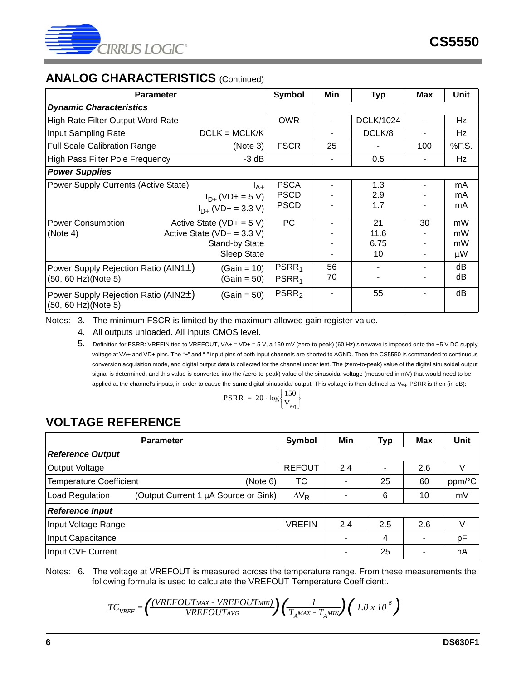

# **ANALOG CHARACTERISTICS** (Continued)

| <b>Parameter</b>                                                             |                                                                                               | <b>Symbol</b>                             | Min                      | <b>Typ</b>               | <b>Max</b> | Unit                      |
|------------------------------------------------------------------------------|-----------------------------------------------------------------------------------------------|-------------------------------------------|--------------------------|--------------------------|------------|---------------------------|
| <b>Dynamic Characteristics</b>                                               |                                                                                               |                                           |                          |                          |            |                           |
| High Rate Filter Output Word Rate                                            |                                                                                               | <b>OWR</b>                                |                          | <b>DCLK/1024</b>         |            | Hz                        |
| Input Sampling Rate                                                          | $DCLK = MCLK/K$                                                                               |                                           |                          | DCLK/8                   |            | Hz                        |
| <b>Full Scale Calibration Range</b>                                          | (Note 3)                                                                                      | <b>FSCR</b>                               | 25                       |                          | 100        | %F.S.                     |
| <b>High Pass Filter Pole Frequency</b>                                       | $-3 dB$                                                                                       |                                           | $\overline{\phantom{a}}$ | 0.5                      | -          | Hz                        |
| <b>Power Supplies</b>                                                        |                                                                                               |                                           |                          |                          |            |                           |
| Power Supply Currents (Active State)                                         | $I_{A+}$<br>$I_{D+}$ (VD+ = 5 V)<br>$I_{D+}$ (VD+ = 3.3 V)                                    | <b>PSCA</b><br><b>PSCD</b><br><b>PSCD</b> |                          | 1.3<br>2.9<br>1.7        |            | mA<br>mA<br>mA            |
| <b>Power Consumption</b><br>(Note 4)                                         | Active State (VD+ = $5$ V)<br>Active State ( $VD+ = 3.3 V$ )<br>Stand-by State<br>Sleep State | <b>PC</b>                                 |                          | 21<br>11.6<br>6.75<br>10 | 30         | mW<br>mW<br>mW<br>$\mu$ W |
| Power Supply Rejection Ratio (AIN1±)<br>(50, 60 Hz)(Note 5)                  | $(Gain = 10)$<br>$(Gain = 50)$                                                                | PSRR <sub>1</sub><br>PSRR <sub>1</sub>    | 56<br>70                 |                          |            | dB<br>dB                  |
| Power Supply Rejection Ratio (AIN2±)<br>$(Gain = 50)$<br>(50, 60 Hz)(Note 5) |                                                                                               | PSRR <sub>2</sub>                         | ٠                        | 55                       |            | dB                        |

<span id="page-5-4"></span><span id="page-5-2"></span><span id="page-5-1"></span>Notes: 3. The minimum FSCR is limited by the maximum allowed gain register value.

4. All outputs unloaded. All inputs CMOS level.

5. Definition for PSRR: VREFIN tied to VREFOUT, VA+ = VD+ = 5 V, a 150 mV (zero-to-peak) (60 Hz) sinewave is imposed onto the +5 V DC supply voltage at VA+ and VD+ pins. The "+" and "-" input pins of both input channels are shorted to AGND. Then the CS5550 is commanded to continuous conversion acquisition mode, and digital output data is collected for the channel under test. The (zero-to-peak) value of the digital sinusoidal output signal is determined, and this value is converted into the (zero-to-peak) value of the sinusoidal voltage (measured in mV) that would need to be applied at the channel's inputs, in order to cause the same digital sinusoidal output. This voltage is then defined as Veq. PSRR is then (in dB):

$$
PSRR = 20 \cdot \log \left\{ \frac{150}{V_{eq}} \right\}
$$

# <span id="page-5-0"></span>**VOLTAGE REFERENCE**

| <b>Parameter</b>                                        | Symbol        | Min | <b>Typ</b>               | <b>Max</b> | Unit   |  |  |  |
|---------------------------------------------------------|---------------|-----|--------------------------|------------|--------|--|--|--|
| <b>Reference Output</b>                                 |               |     |                          |            |        |  |  |  |
| Output Voltage                                          | <b>REFOUT</b> | 2.4 | $\overline{\phantom{a}}$ | 2.6        | V      |  |  |  |
| <b>Temperature Coefficient</b><br>(Note 6)              | ТC            |     | 25                       | 60         | ppm/°C |  |  |  |
| (Output Current 1 µA Source or Sink)<br>Load Regulation | $\Delta V_R$  |     | 6                        | 10         | mV     |  |  |  |
| <b>Reference Input</b>                                  |               |     |                          |            |        |  |  |  |
| Input Voltage Range                                     | VREFIN        | 2.4 | 2.5                      | 2.6        | V      |  |  |  |
| Input Capacitance                                       |               |     | 4                        |            | pF     |  |  |  |
| Input CVF Current                                       |               |     | 25                       |            | nA     |  |  |  |

<span id="page-5-3"></span>Notes: 6. The voltage at VREFOUT is measured across the temperature range. From these measurements the following formula is used to calculate the VREFOUT Temperature Coefficient:.

$$
TC_{VREF} = \left(\frac{(VREFOUT_{MAX} - VREFOUT_{MIN})}{VREFOUT_{AVG}}\right)\left(\frac{1}{T_A^{MAX} - T_A^{MIN}}\right)\left(1.0 \times 10^{-6}\right)
$$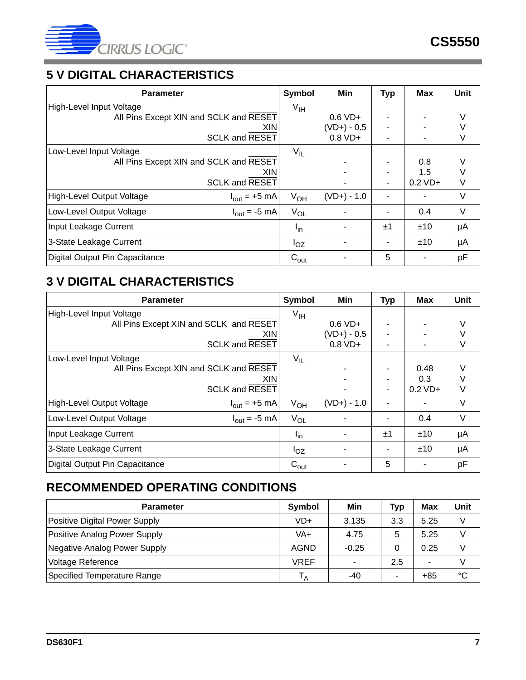

# <span id="page-6-0"></span>**5 V DIGITAL CHARACTERISTICS**

| <b>Parameter</b>                                             | Symbol           | Min                  | <b>Typ</b> | <b>Max</b> | Unit   |
|--------------------------------------------------------------|------------------|----------------------|------------|------------|--------|
| High-Level Input Voltage                                     | $V_{\text{IH}}$  |                      |            |            |        |
| All Pins Except XIN and SCLK and RESET                       |                  | $0.6 VD+$            |            |            | V      |
| XIN.                                                         |                  | $(VD+) - 0.5$        |            |            |        |
| <b>SCLK and RESET</b>                                        |                  | $0.8 \, \text{VD}$ + |            |            | V      |
| Low-Level Input Voltage                                      | $V_{IL}$         |                      |            |            |        |
| All Pins Except XIN and SCLK and RESET                       |                  |                      |            | 0.8        |        |
| XIN.                                                         |                  |                      |            | 1.5        |        |
| <b>SCLK and RESET</b>                                        |                  |                      | ٠          | $0.2$ VD+  | V      |
| High-Level Output Voltage<br>$I_{\text{out}} = +5$ mA        | $V_{OH}$         | $(VD+) - 1.0$        |            |            | V      |
| Low-Level Output Voltage<br>$I_{\text{out}} = -5 \text{ mA}$ | $V_{OL}$         |                      |            | 0.4        | $\vee$ |
| Input Leakage Current                                        | $I_{in}$         |                      | ±1         | ±10        | μA     |
| 3-State Leakage Current                                      | $I_{OZ}$         |                      |            | ±10        | μA     |
| Digital Output Pin Capacitance                               | $C_{\text{out}}$ |                      | 5          |            | pF     |

# <span id="page-6-1"></span>**3 V DIGITAL CHARACTERISTICS**

| <b>Parameter</b>                                                     | Symbol           | Min           | <b>Typ</b> | <b>Max</b> | Unit   |
|----------------------------------------------------------------------|------------------|---------------|------------|------------|--------|
| High-Level Input Voltage                                             | V <sub>IH</sub>  |               |            |            |        |
| All Pins Except XIN and SCLK and RESET                               |                  | $0.6 VD+$     |            |            | V      |
| XIN.                                                                 |                  | $(VD+) - 0.5$ |            |            | V      |
| <b>SCLK and RESET</b>                                                |                  | $0.8 VD+$     |            |            | V      |
| Low-Level Input Voltage                                              | $V_{IL}$         |               |            |            |        |
| All Pins Except XIN and SCLK and RESET                               |                  |               |            | 0.48       | $\vee$ |
| XIN.                                                                 |                  |               |            | 0.3        |        |
| <b>SCLK and RESET</b>                                                |                  |               |            | $0.2$ VD+  | V      |
| <b>High-Level Output Voltage</b><br>$I_{\text{out}} = +5 \text{ mA}$ | $V_{OH}$         | $(VD+) - 1.0$ |            |            | V      |
| Low-Level Output Voltage<br>$I_{\text{out}} = -5 \text{ mA}$         | $V_{OL}$         |               |            | 0.4        | $\vee$ |
| Input Leakage Current                                                | $I_{in}$         |               | ±1         | ±10        | μA     |
| 3-State Leakage Current                                              | $I_{OZ}$         |               |            | ±10        | μA     |
| Digital Output Pin Capacitance                                       | $C_{\text{out}}$ |               | 5          |            | pF     |

# <span id="page-6-2"></span>**RECOMMENDED OPERATING CONDITIONS**

| <b>Parameter</b>              | Symbol      | Min     | Typ                      | Max   | Unit        |
|-------------------------------|-------------|---------|--------------------------|-------|-------------|
| Positive Digital Power Supply | $VD+$       | 3.135   | 3.3                      | 5.25  |             |
| Positive Analog Power Supply  | VA+         | 4.75    | 5                        | 5.25  |             |
| Negative Analog Power Supply  | <b>AGND</b> | $-0.25$ |                          | 0.25  |             |
| Voltage Reference             | VREF        |         | 2.5                      |       |             |
| Specified Temperature Range   | IΑ          | -40     | $\overline{\phantom{a}}$ | $+85$ | $^{\circ}C$ |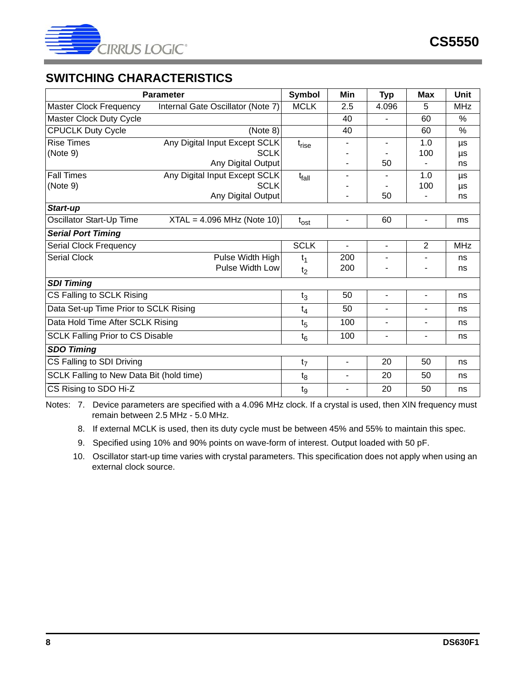

# <span id="page-7-0"></span>**SWITCHING CHARACTERISTICS**

| <b>Parameter</b>                         | Symbol                            | Min                      | <b>Typ</b>               | <b>Max</b>                   | <b>Unit</b>              |            |
|------------------------------------------|-----------------------------------|--------------------------|--------------------------|------------------------------|--------------------------|------------|
| <b>Master Clock Frequency</b>            | Internal Gate Oscillator (Note 7) | <b>MCLK</b>              | 2.5                      | 4.096                        | 5                        | <b>MHz</b> |
| Master Clock Duty Cycle                  |                                   |                          | 40                       | $\blacksquare$               | 60                       | $\%$       |
| <b>CPUCLK Duty Cycle</b>                 | (Note 8)                          |                          | 40                       |                              | 60                       | %          |
| <b>Rise Times</b>                        | Any Digital Input Except SCLK     | $t_{rise}$               |                          | $\qquad \qquad \blacksquare$ | 1.0                      | μs         |
| (Note 9)                                 | <b>SCLK</b>                       |                          |                          |                              | 100                      | μs         |
|                                          | Any Digital Output                |                          |                          | 50                           | $\blacksquare$           | ns         |
| <b>Fall Times</b>                        | Any Digital Input Except SCLK     | t <sub>fall</sub>        |                          |                              | 1.0                      | μs         |
| (Note 9)                                 | <b>SCLK</b>                       |                          |                          |                              | 100                      | μs         |
|                                          | Any Digital Output                |                          |                          | 50                           | $\overline{\phantom{a}}$ | ns         |
| Start-up                                 |                                   |                          |                          |                              |                          |            |
| Oscillator Start-Up Time                 | $XTAL = 4.096 MHz (Note 10)$      | $t_{\rm ost}$            | $\overline{\phantom{a}}$ | 60                           | $\blacksquare$           | ms         |
| <b>Serial Port Timing</b>                |                                   |                          |                          |                              |                          |            |
| Serial Clock Frequency                   |                                   | <b>SCLK</b>              | $\overline{\phantom{a}}$ | $\blacksquare$               | $\overline{2}$           | <b>MHz</b> |
| <b>Serial Clock</b>                      | Pulse Width High                  | $t_1$                    | 200                      |                              |                          | ns         |
|                                          | Pulse Width Low                   | t <sub>2</sub>           | 200                      |                              |                          | ns         |
| <b>SDI Timing</b>                        |                                   |                          |                          |                              |                          |            |
| CS Falling to SCLK Rising                |                                   | $t_3$                    | 50                       | $\blacksquare$               | $\overline{\phantom{0}}$ | ns         |
| Data Set-up Time Prior to SCLK Rising    |                                   | $t_4$                    | 50                       | $\blacksquare$               | $\overline{\phantom{0}}$ | ns         |
| Data Hold Time After SCLK Rising         |                                   | $t_{5}$                  | 100                      |                              | ÷,                       | ns         |
| <b>SCLK Falling Prior to CS Disable</b>  | $t_6$                             | 100                      | $\blacksquare$           | $\blacksquare$               | ns                       |            |
| <b>SDO Timing</b>                        |                                   |                          |                          |                              |                          |            |
| CS Falling to SDI Driving                | t <sub>7</sub>                    | $\overline{\phantom{a}}$ | 20                       | 50                           | ns                       |            |
| SCLK Falling to New Data Bit (hold time) |                                   | $t_8$                    |                          | 20                           | 50                       | ns         |
| CS Rising to SDO Hi-Z                    |                                   | t <sub>9</sub>           | $\overline{\phantom{a}}$ | 20                           | 50                       | ns         |

Notes: 7. Device parameters are specified with a 4.096 MHz clock. If a crystal is used, then XIN frequency must remain between 2.5 MHz - 5.0 MHz.

8. If external MCLK is used, then its duty cycle must be between 45% and 55% to maintain this spec.

9. Specified using 10% and 90% points on wave-form of interest. Output loaded with 50 pF.

10. Oscillator start-up time varies with crystal parameters. This specification does not apply when using an external clock source.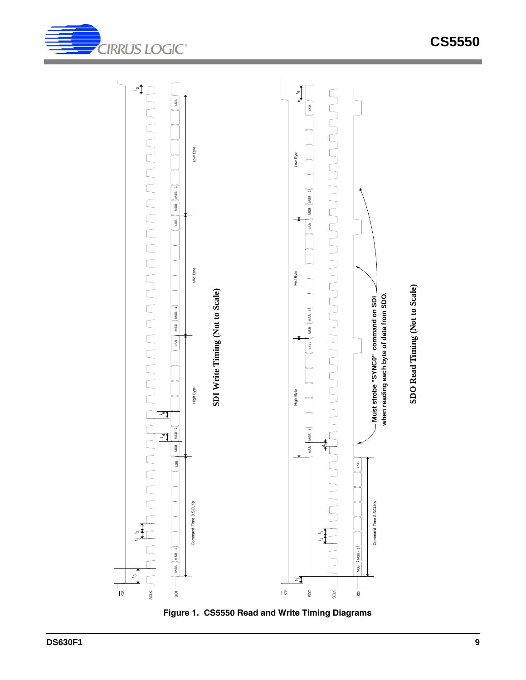

**CIRRUS LOGIC®** 

<span id="page-8-0"></span>**Figure 1. CS5550 Read and Write Timing Diagrams**

**CS5550**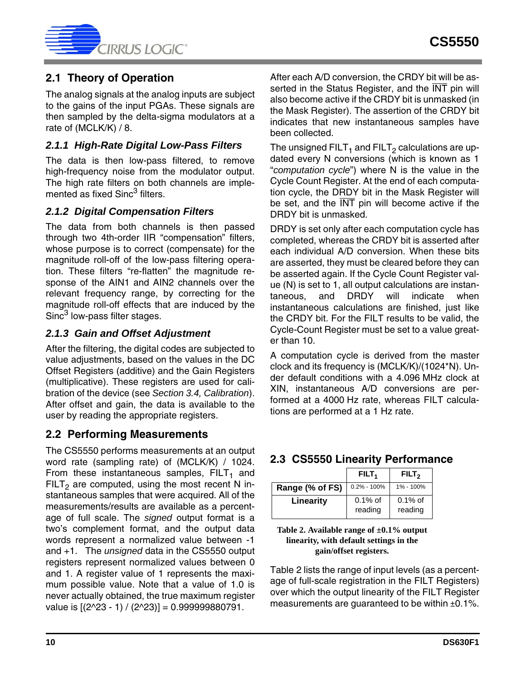

### <span id="page-9-0"></span>**2.1 Theory of Operation**

The analog signals at the analog inputs are subject to the gains of the input PGAs. These signals are then sampled by the delta-sigma modulators at a rate of (MCLK/K) / 8.

#### <span id="page-9-1"></span>*2.1.1 High-Rate Digital Low-Pass Filters*

The data is then low-pass filtered, to remove high-frequency noise from the modulator output. The high rate filters on both channels are implemented as fixed Sinc<sup>3</sup> filters.

#### <span id="page-9-2"></span>*2.1.2 Digital Compensation Filters*

The data from both channels is then passed through two 4th-order IIR "compensation" filters, whose purpose is to correct (compensate) for the magnitude roll-off of the low-pass filtering operation. These filters "re-flatten" the magnitude response of the AIN1 and AIN2 channels over the relevant frequency range, by correcting for the magnitude roll-off effects that are induced by the Sinc<sup>3</sup> low-pass filter stages.

#### <span id="page-9-3"></span>*2.1.3 Gain and Offset Adjustment*

After the filtering, the digital codes are subjected to value adjustments, based on the values in the DC Offset Registers (additive) and the Gain Registers (multiplicative). These registers are used for calibration of the device (see *[Section 3.4, Calibration](#page-11-0)*). After offset and gain, the data is available to the user by reading the appropriate registers.

### <span id="page-9-4"></span>**2.2 Performing Measurements**

The CS5550 performs measurements at an output word rate (sampling rate) of (MCLK/K) / 1024. From these instantaneous samples,  $FILT_1$  and FILT<sub>2</sub> are computed, using the most recent N instantaneous samples that were acquired. All of the measurements/results are available as a percentage of full scale. The *signed* output format is a two's complement format, and the output data words represent a normalized value between -1 and +1. The *unsigned* data in the CS5550 output registers represent normalized values between 0 and 1. A register value of 1 represents the maximum possible value. Note that a value of 1.0 is never actually obtained, the true maximum register value is  $[(2^2-23 - 1) / (2^2-23)] = 0.999999880791$ .

After each A/D conversion, the CRDY bit will be asserted in the Status Register, and the INT pin will also become active if the CRDY bit is unmasked (in the Mask Register). The assertion of the CRDY bit indicates that new instantaneous samples have been collected.

The unsigned FILT<sub>1</sub> and FILT<sub>2</sub> calculations are updated every N conversions (which is known as 1 "*computation cycle*") where N is the value in the Cycle Count Register. At the end of each computation cycle, the DRDY bit in the Mask Register will be set, and the  $\overline{\text{INT}}$  pin will become active if the DRDY bit is unmasked.

DRDY is set only after each computation cycle has completed, whereas the CRDY bit is asserted after each individual A/D conversion. When these bits are asserted, they must be cleared before they can be asserted again. If the Cycle Count Register value (N) is set to 1, all output calculations are instantaneous, and DRDY will indicate when instantaneous calculations are finished, just like the CRDY bit. For the FILT results to be valid, the Cycle-Count Register must be set to a value greater than 10.

A computation cycle is derived from the master clock and its frequency is (MCLK/K)/(1024\*N). Under default conditions with a 4.096 MHz clock at XIN, instantaneous A/D conversions are performed at a 4000 Hz rate, whereas FILT calculations are performed at a 1 Hz rate.

### <span id="page-9-5"></span>**2.3 CS5550 Linearity Performance**

|                 | FILT <sub>1</sub>     | FILT <sub>2</sub>     |
|-----------------|-----------------------|-----------------------|
| Range (% of FS) | $0.2\% - 100\%$       | 1% - 100%             |
| Linearity       | $0.1\%$ of<br>reading | $0.1\%$ of<br>reading |

<span id="page-9-6"></span>**Table 2. Available range of ±0.1% output linearity, with default settings in the gain/offset registers.**

Table [2](#page-9-6) lists the range of input levels (as a percentage of full-scale registration in the FILT Registers) over which the output linearity of the FILT Register measurements are quaranteed to be within  $\pm 0.1\%$ .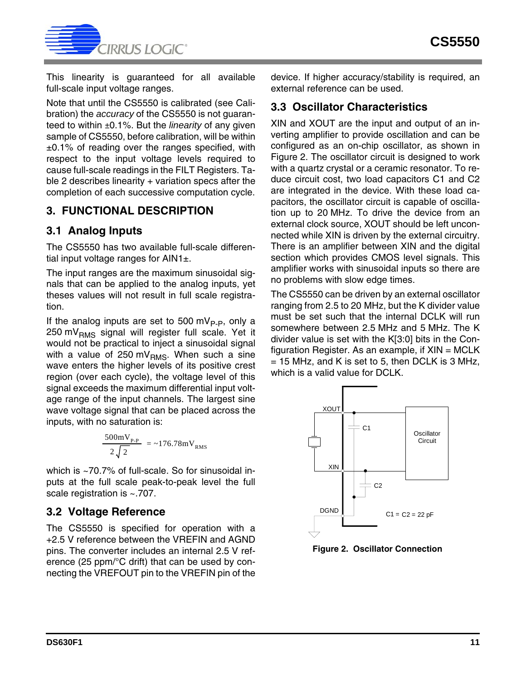

This linearity is guaranteed for all available full-scale input voltage ranges.

Note that until the CS5550 is calibrated (see Calibration) the *accuracy* of the CS5550 is not guaranteed to within ±0.1%. But the *linearity* of any given sample of CS5550, before calibration, will be within  $±0.1\%$  of reading over the ranges specified, with respect to the input voltage levels required to cause full-scale readings in the FILT Registers. Ta-ble [2](#page-9-6) describes linearity  $+$  variation specs after the completion of each successive computation cycle.

### <span id="page-10-0"></span>**3. FUNCTIONAL DESCRIPTION**

### <span id="page-10-1"></span>**3.1 Analog Inputs**

The CS5550 has two available full-scale differential input voltage ranges for  $AlN1\pm$ .

The input ranges are the maximum sinusoidal signals that can be applied to the analog inputs, yet theses values will not result in full scale registration.

If the analog inputs are set to 500 mV<sub>P-P</sub>, only a  $250 \text{ mV}_{BMS}$  signal will register full scale. Yet it would not be practical to inject a sinusoidal signal with a value of 250 mV $_{RMS}$ . When such a sine wave enters the higher levels of its positive crest region (over each cycle), the voltage level of this signal exceeds the maximum differential input voltage range of the input channels. The largest sine wave voltage signal that can be placed across the inputs, with no saturation is:

$$
\frac{500 \text{mV}_{\text{P-P}}}{2 \sqrt{2}} = -176.78 \text{mV}_{\text{RMS}}
$$

which is ~70.7% of full-scale. So for sinusoidal inputs at the full scale peak-to-peak level the full scale registration is ~.707.

### <span id="page-10-2"></span>**3.2 Voltage Reference**

The CS5550 is specified for operation with a +2.5 V reference between the VREFIN and AGND pins. The converter includes an internal 2.5 V reference (25 ppm/°C drift) that can be used by connecting the VREFOUT pin to the VREFIN pin of the device. If higher accuracy/stability is required, an external reference can be used.

### <span id="page-10-3"></span>**3.3 Oscillator Characteristics**

XIN and XOUT are the input and output of an inverting amplifier to provide oscillation and can be configured as an on-chip oscillator, as shown in Figure [2.](#page-10-4) The oscillator circuit is designed to work with a quartz crystal or a ceramic resonator. To reduce circuit cost, two load capacitors C1 and C2 are integrated in the device. With these load capacitors, the oscillator circuit is capable of oscillation up to 20 MHz. To drive the device from an external clock source, XOUT should be left unconnected while XIN is driven by the external circuitry. There is an amplifier between XIN and the digital section which provides CMOS level signals. This amplifier works with sinusoidal inputs so there are no problems with slow edge times.

The CS5550 can be driven by an external oscillator ranging from 2.5 to 20 MHz, but the K divider value must be set such that the internal DCLK will run somewhere between 2.5 MHz and 5 MHz. The K divider value is set with the K[3:0] bits in the Configuration Register. As an example, if  $XIN = MCLK$  $= 15$  MHz, and K is set to 5, then DCLK is 3 MHz, which is a valid value for DCLK.



<span id="page-10-4"></span>**Figure 2. Oscillator Connection**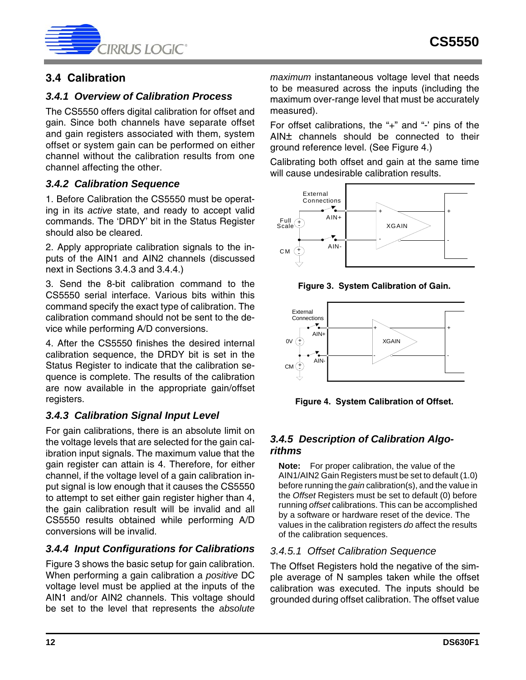

## <span id="page-11-0"></span>**3.4 Calibration**

#### <span id="page-11-1"></span>*3.4.1 Overview of Calibration Process*

The CS5550 offers digital calibration for offset and gain. Since both channels have separate offset and gain registers associated with them, system offset or system gain can be performed on either channel without the calibration results from one channel affecting the other.

#### <span id="page-11-2"></span>*3.4.2 Calibration Sequence*

1. Before Calibration the CS5550 must be operating in its *active* state, and ready to accept valid commands. The 'DRDY' bit in the Status Register should also be cleared.

2. Apply appropriate calibration signals to the inputs of the AIN1 and AIN2 channels (discussed next in Sections [3.4.3](#page-11-3) and [3.4.4](#page-11-4).)

3. Send the 8-bit calibration command to the CS5550 serial interface. Various bits within this command specify the exact type of calibration. The calibration command should not be sent to the device while performing A/D conversions.

4. After the CS5550 finishes the desired internal calibration sequence, the DRDY bit is set in the Status Register to indicate that the calibration sequence is complete. The results of the calibration are now available in the appropriate gain/offset registers.

### <span id="page-11-3"></span>*3.4.3 Calibration Signal Input Level*

For gain calibrations, there is an absolute limit on the voltage levels that are selected for the gain calibration input signals. The maximum value that the gain register can attain is 4. Therefore, for either channel, if the voltage level of a gain calibration input signal is low enough that it causes the CS5550 to attempt to set either gain register higher than 4, the gain calibration result will be invalid and all CS5550 results obtained while performing A/D conversions will be invalid.

### <span id="page-11-4"></span>*3.4.4 Input Configurations for Calibrations*

Figure [3](#page-11-7) shows the basic setup for gain calibration. When performing a gain calibration a *positive* DC voltage level must be applied at the inputs of the AIN1 and/or AIN2 channels. This voltage should be set to the level that represents the *absolute*

*maximum* instantaneous voltage level that needs to be measured across the inputs (including the maximum over-range level that must be accurately measured).

For offset calibrations, the "+" and "-' pins of the AIN± channels should be connected to their ground reference level. (See Figure [4.](#page-11-8))

Calibrating both offset and gain at the same time will cause undesirable calibration results.



**Figure 3. System Calibration of Gain.**

<span id="page-11-7"></span>

<span id="page-11-8"></span>**Figure 4. System Calibration of Offset.**

### <span id="page-11-5"></span>*3.4.5 Description of Calibration Algorithms*

**Note:** For proper calibration, the value of the AIN1/AIN2 Gain Registers must be set to default (1.0) before running the *gain* calibration(s), and the value in the *Offset* Registers must be set to default (0) before running *offset* calibrations. This can be accomplished by a software or hardware reset of the device. The values in the calibration registers *do* affect the results of the calibration sequences.

#### <span id="page-11-6"></span>*3.4.5.1 Offset Calibration Sequence*

The Offset Registers hold the negative of the simple average of N samples taken while the offset calibration was executed. The inputs should be grounded during offset calibration. The offset value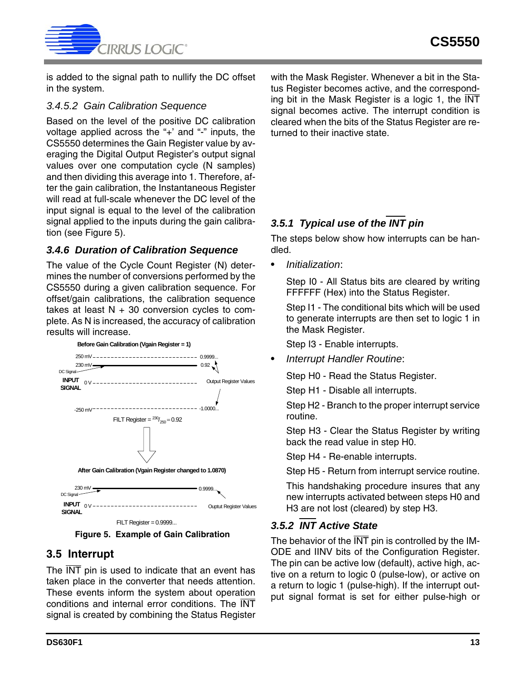

is added to the signal path to nullify the DC offset in the system.

#### <span id="page-12-0"></span>*3.4.5.2 Gain Calibration Sequence*

Based on the level of the positive DC calibration voltage applied across the "+' and "-" inputs, the CS5550 determines the Gain Register value by averaging the Digital Output Register's output signal values over one computation cycle (N samples) and then dividing this average into 1. Therefore, after the gain calibration, the Instantaneous Register will read at full-scale whenever the DC level of the input signal is equal to the level of the calibration signal applied to the inputs during the gain calibration (see Figure [5\)](#page-12-5).

### <span id="page-12-1"></span>*3.4.6 Duration of Calibration Sequence*

The value of the Cycle Count Register (N) determines the number of conversions performed by the CS5550 during a given calibration sequence. For offset/gain calibrations, the calibration sequence takes at least  $N + 30$  conversion cycles to complete. As N is increased, the accuracy of calibration results will increase.



 $FILT$  Register =  $0.9999...$ 

<span id="page-12-5"></span>

### <span id="page-12-2"></span>**3.5 Interrupt**

The INT pin is used to indicate that an event has taken place in the converter that needs attention. These events inform the system about operation conditions and internal error conditions. The INT signal is created by combining the Status Register with the Mask Register. Whenever a bit in the Status Register becomes active, and the corresponding bit in the Mask Register is a logic 1, the INT signal becomes active. The interrupt condition is cleared when the bits of the Status Register are returned to their inactive state.

# <span id="page-12-3"></span>*3.5.1 Typical use of the INT pin*

The steps below show how interrupts can be handled.

• *Initialization*:

Step I0 - All Status bits are cleared by writing FFFFFF (Hex) into the Status Register.

Step I1 - The conditional bits which will be used to generate interrupts are then set to logic 1 in the Mask Register.

Step I3 - Enable interrupts.

• *Interrupt Handler Routine*:

Step H0 - Read the Status Register.

Step H1 - Disable all interrupts.

Step H2 - Branch to the proper interrupt service routine.

Step H3 - Clear the Status Register by writing back the read value in step H0.

Step H4 - Re-enable interrupts.

Step H5 - Return from interrupt service routine.

This handshaking procedure insures that any new interrupts activated between steps H0 and H3 are not lost (cleared) by step H3.

### <span id="page-12-4"></span>*3.5.2 INT Active State*

The behavior of the  $\overline{\text{INT}}$  pin is controlled by the IM-ODE and IINV bits of the Configuration Register. The pin can be active low (default), active high, active on a return to logic 0 (pulse-low), or active on a return to logic 1 (pulse-high). If the interrupt output signal format is set for either pulse-high or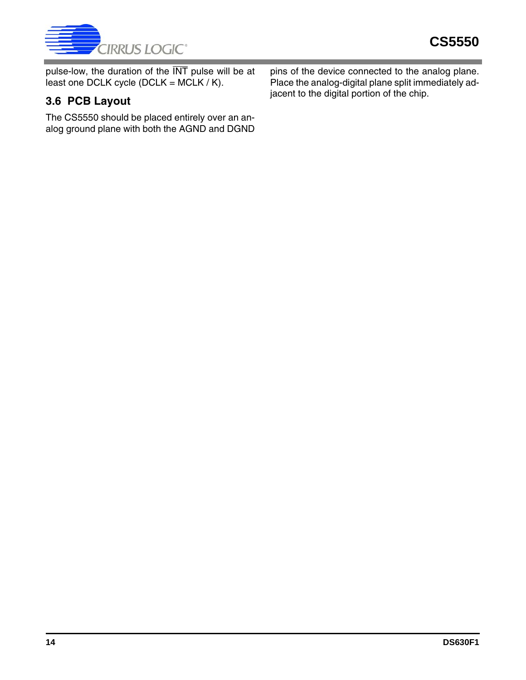

pulse-low, the duration of the  $\overline{\text{INT}}$  pulse will be at least one DCLK cycle (DCLK = MCLK / K).

# <span id="page-13-0"></span>**3.6 PCB Layout**

The CS5550 should be placed entirely over an analog ground plane with both the AGND and DGND

pins of the device connected to the analog plane. Place the analog-digital plane split immediately adjacent to the digital portion of the chip.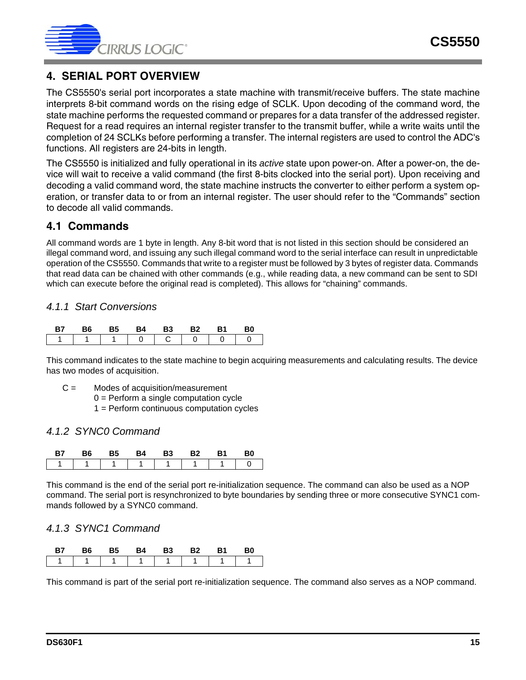

### <span id="page-14-0"></span>**4. SERIAL PORT OVERVIEW**

The CS5550's serial port incorporates a state machine with transmit/receive buffers. The state machine interprets 8-bit command words on the rising edge of SCLK. Upon decoding of the command word, the state machine performs the requested command or prepares for a data transfer of the addressed register. Request for a read requires an internal register transfer to the transmit buffer, while a write waits until the completion of 24 SCLKs before performing a transfer. The internal registers are used to control the ADC's functions. All registers are 24-bits in length.

The CS5550 is initialized and fully operational in its *active* state upon power-on. After a power-on, the device will wait to receive a valid command (the first 8-bits clocked into the serial port). Upon receiving and decoding a valid command word, the state machine instructs the converter to either perform a system operation, or transfer data to or from an internal register. The user should refer to the "Commands" section to decode all valid commands.

### <span id="page-14-1"></span>**4.1 Commands**

All command words are 1 byte in length. Any 8-bit word that is not listed in this section should be considered an illegal command word, and issuing any such illegal command word to the serial interface can result in unpredictable operation of the CS5550. Commands that write to a register must be followed by 3 bytes of register data. Commands that read data can be chained with other commands (e.g., while reading data, a new command can be sent to SDI which can execute before the original read is completed). This allows for "chaining" commands.

#### *4.1.1 Start Conversions*

| B6. | - 65 | B4. | <b>B3</b> | - R2 | - R1   | 80 |
|-----|------|-----|-----------|------|--------|----|
|     |      |     | 1 0 1 0 1 |      | $\cap$ |    |

This command indicates to the state machine to begin acquiring measurements and calculating results. The device has two modes of acquisition.

- C = Modes of acquisition/measurement
	- 0 = Perform a single computation cycle
	- 1 = Perform continuous computation cycles

#### *4.1.2 SYNC0 Command*

|  | $\ddot{\phantom{a}}$ | В3 | い | B0 |
|--|----------------------|----|---|----|
|  |                      |    |   |    |

This command is the end of the serial port re-initialization sequence. The command can also be used as a NOP command. The serial port is resynchronized to byte boundaries by sending three or more consecutive SYNC1 commands followed by a SYNC0 command.

#### *4.1.3 SYNC1 Command*

| B7 | B6 | <b>B5</b> | <b>B4</b> | <b>B3</b> | <b>B2</b> | <b>B1</b> | B0 |
|----|----|-----------|-----------|-----------|-----------|-----------|----|
|    |    |           | 1 1 1     |           |           |           |    |

This command is part of the serial port re-initialization sequence. The command also serves as a NOP command.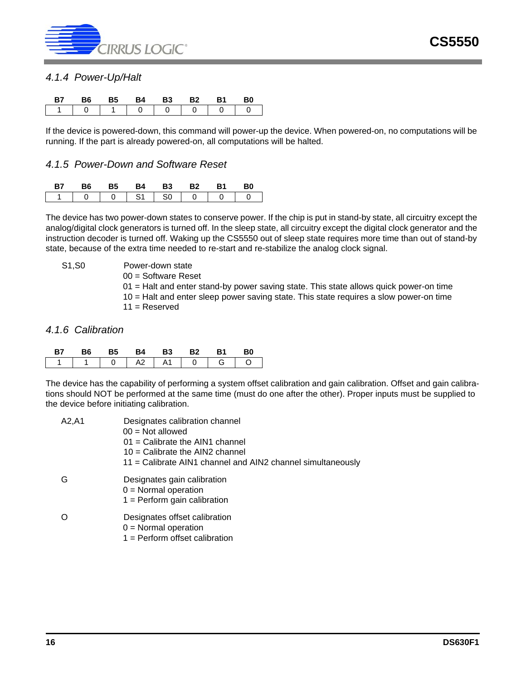

#### *4.1.4 Power-Up/Halt*

| B7                               | B6.            | - B5          | R4 | <b>B3</b> | <b>B2</b> |          | B <sub>0</sub> |
|----------------------------------|----------------|---------------|----|-----------|-----------|----------|----------------|
| $\begin{array}{ccc} \end{array}$ | $\overline{0}$ | 1 1 0 0 0 0 1 |    |           |           | $\sim$ 0 |                |

If the device is powered-down, this command will power-up the device. When powered-on, no computations will be running. If the part is already powered-on, all computations will be halted.

#### *4.1.5 Power-Down and Software Reset*

| ĸб | в5 | R4        | <b>B3</b> | R2 | B0 |
|----|----|-----------|-----------|----|----|
|    |    | <b>S1</b> | l S0      | റ  |    |

The device has two power-down states to conserve power. If the chip is put in stand-by state, all circuitry except the analog/digital clock generators is turned off. In the sleep state, all circuitry except the digital clock generator and the instruction decoder is turned off. Waking up the CS5550 out of sleep state requires more time than out of stand-by state, because of the extra time needed to re-start and re-stabilize the analog clock signal.

S1,S0 Power-down state

00 = Software Reset

01 = Halt and enter stand-by power saving state. This state allows quick power-on time

10 = Halt and enter sleep power saving state. This state requires a slow power-on time

 $11 =$ Reserved

#### *4.1.6 Calibration*

| <b>B7</b> | <b>B6</b> | B5 B4 B3 B2 |  | <b>B1</b> | - B0                            |
|-----------|-----------|-------------|--|-----------|---------------------------------|
|           |           |             |  |           | 1   1   0   A2   A1   0   G   O |

The device has the capability of performing a system offset calibration and gain calibration. Offset and gain calibrations should NOT be performed at the same time (must do one after the other). Proper inputs must be supplied to the device before initiating calibration.

| A2,A1 | Designates calibration channel<br>$00 = Not allowed$                                    |
|-------|-----------------------------------------------------------------------------------------|
|       | $01 =$ Calibrate the AIN1 channel                                                       |
|       | $10 =$ Calibrate the AIN2 channel                                                       |
|       | 11 = Calibrate AIN1 channel and AIN2 channel simultaneously                             |
| G     | Designates gain calibration<br>$0 =$ Normal operation<br>$1 =$ Perform gain calibration |
|       | Designates offset calibration<br>$0 =$ Normal operation                                 |

1 = Perform offset calibration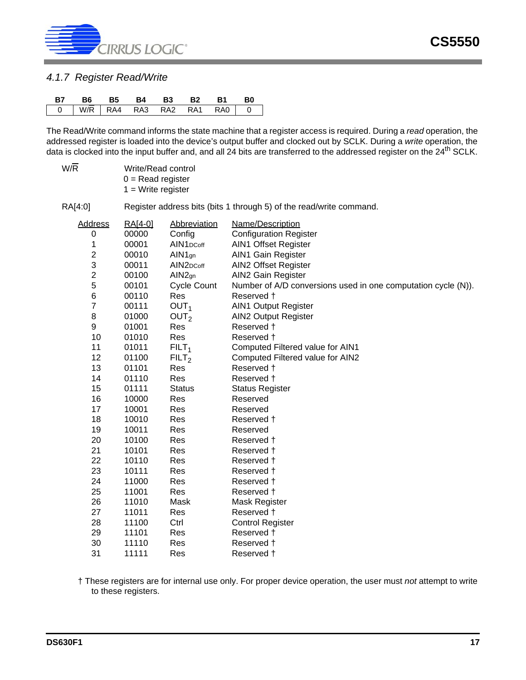

#### *4.1.7 Register Read/Write*

|  |  |  | B7 B6 B5 B4 B3 B2 B1 B0     |  |
|--|--|--|-----------------------------|--|
|  |  |  | 0 W/R RA4 RA3 RA2 RA1 RA0 0 |  |

The Read/Write command informs the state machine that a register access is required. During a *read* operation, the addressed register is loaded into the device's output buffer and clocked out by SCLK. During a *write* operation, the data is clocked into the input buffer and, and all 24 bits are transferred to the addressed register on the 24<sup>th</sup> SCLK.

W/R Write/Read control  $0 =$  Read register  $1$  = Write register

RA[4:0] Register address bits (bits 1 through 5) of the read/write command.

| <b>Address</b>          | RA[4-0] | <b>Abbreviation</b>                | Name/Description                                              |
|-------------------------|---------|------------------------------------|---------------------------------------------------------------|
| 0                       | 00000   | Config                             | <b>Configuration Register</b>                                 |
| 1                       | 00001   | AIN1 <sub>DCoff</sub>              | <b>AIN1 Offset Register</b>                                   |
| $\overline{\mathbf{c}}$ | 00010   | $AlN1$ gn                          | AIN1 Gain Register                                            |
| 3                       | 00011   | AIN <sub>2</sub> D <sub>Coff</sub> | <b>AIN2 Offset Register</b>                                   |
| $\overline{2}$          | 00100   | AIN <sub>2gn</sub>                 | AIN2 Gain Register                                            |
| 5                       | 00101   | <b>Cycle Count</b>                 | Number of A/D conversions used in one computation cycle (N)). |
| $6\phantom{1}6$         | 00110   | Res                                | Reserved †                                                    |
| 7                       | 00111   | OUT <sub>1</sub>                   | <b>AIN1 Output Register</b>                                   |
| 8                       | 01000   | OUT <sub>2</sub>                   | <b>AIN2 Output Register</b>                                   |
| $\boldsymbol{9}$        | 01001   | Res                                | Reserved +                                                    |
| 10                      | 01010   | Res                                | Reserved +                                                    |
| 11                      | 01011   | FILT <sub>1</sub>                  | Computed Filtered value for AIN1                              |
| 12                      | 01100   | FILT <sub>2</sub>                  | Computed Filtered value for AIN2                              |
| 13                      | 01101   | Res                                | Reserved +                                                    |
| 14                      | 01110   | Res                                | Reserved †                                                    |
| 15                      | 01111   | <b>Status</b>                      | <b>Status Register</b>                                        |
| 16                      | 10000   | Res                                | Reserved                                                      |
| 17                      | 10001   | Res                                | Reserved                                                      |
| 18                      | 10010   | Res                                | Reserved †                                                    |
| 19                      | 10011   | Res                                | Reserved                                                      |
| 20                      | 10100   | Res                                | Reserved †                                                    |
| 21                      | 10101   | Res                                | Reserved †                                                    |
| 22                      | 10110   | Res                                | Reserved †                                                    |
| 23                      | 10111   | Res                                | Reserved †                                                    |
| 24                      | 11000   | Res                                | Reserved †                                                    |
| 25                      | 11001   | Res                                | Reserved †                                                    |
| 26                      | 11010   | Mask                               | Mask Register                                                 |
| 27                      | 11011   | Res                                | Reserved +                                                    |
| 28                      | 11100   | Ctrl                               | <b>Control Register</b>                                       |
| 29                      | 11101   | Res                                | Reserved †                                                    |
| 30                      | 11110   | Res                                | Reserved †                                                    |
| 31                      | 11111   | Res                                | Reserved †                                                    |

† These registers are for internal use only. For proper device operation, the user must *not* attempt to write to these registers.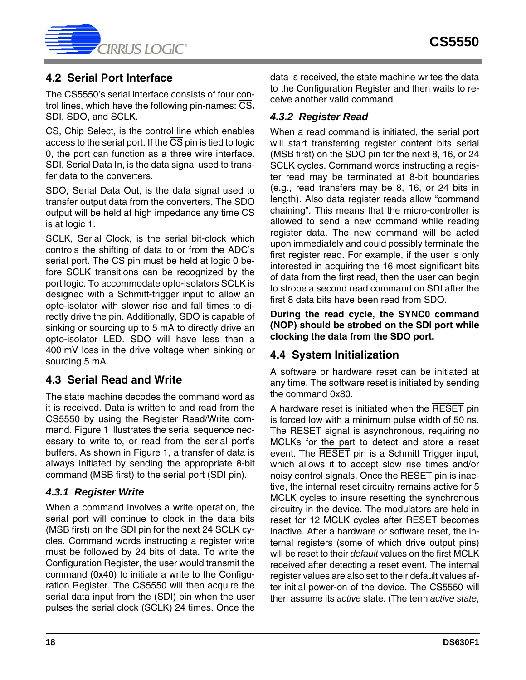

### <span id="page-17-0"></span>**4.2 Serial Port Interface**

The CS5550's serial interface consists of four control lines, which have the following pin-names:  $\overline{CS}$ , SDI, SDO, and SCLK.

CS, Chip Select, is the control line which enables access to the serial port. If the  $\overline{\text{CS}}$  pin is tied to logic 0, the port can function as a three wire interface. SDI, Serial Data In, is the data signal used to transfer data to the converters.

SDO, Serial Data Out, is the data signal used to transfer output data from the converters. The SDO output will be held at high impedance any time  $\overline{\text{CS}}$ is at logic 1.

SCLK, Serial Clock, is the serial bit-clock which controls the shifting of data to or from the ADC's serial port. The  $\overline{CS}$  pin must be held at logic 0 before SCLK transitions can be recognized by the port logic. To accommodate opto-isolators SCLK is designed with a Schmitt-trigger input to allow an opto-isolator with slower rise and fall times to directly drive the pin. Additionally, SDO is capable of sinking or sourcing up to 5 mA to directly drive an opto-isolator LED. SDO will have less than a 400 mV loss in the drive voltage when sinking or sourcing 5 mA.

### <span id="page-17-1"></span>**4.3 Serial Read and Write**

The state machine decodes the command word as it is received. Data is written to and read from the CS5550 by using the Register Read/Write command. Figure [1](#page-8-0) illustrates the serial sequence necessary to write to, or read from the serial port's buffers. As shown in Figure [1,](#page-8-0) a transfer of data is always initiated by sending the appropriate 8-bit command (MSB first) to the serial port (SDI pin).

### <span id="page-17-2"></span>*4.3.1 Register Write*

When a command involves a write operation, the serial port will continue to clock in the data bits (MSB first) on the SDI pin for the next 24 SCLK cycles. Command words instructing a register write must be followed by 24 bits of data. To write the Configuration Register, the user would transmit the command (0x40) to initiate a write to the Configuration Register. The CS5550 will then acquire the serial data input from the (SDI) pin when the user pulses the serial clock (SCLK) 24 times. Once the data is received, the state machine writes the data to the Configuration Register and then waits to receive another valid command.

### <span id="page-17-3"></span>*4.3.2 Register Read*

When a read command is initiated, the serial port will start transferring register content bits serial (MSB first) on the SDO pin for the next 8, 16, or 24 SCLK cycles. Command words instructing a register read may be terminated at 8-bit boundaries (e.g., read transfers may be 8, 16, or 24 bits in length). Also data register reads allow "command chaining". This means that the micro-controller is allowed to send a new command while reading register data. The new command will be acted upon immediately and could possibly terminate the first register read. For example, if the user is only interested in acquiring the 16 most significant bits of data from the first read, then the user can begin to strobe a second read command on SDI after the first 8 data bits have been read from SDO.

**During the read cycle, the SYNC0 command (NOP) should be strobed on the SDI port while clocking the data from the SDO port.** 

### <span id="page-17-4"></span>**4.4 System Initialization**

A software or hardware reset can be initiated at any time. The software reset is initiated by sending the command 0x80.

A hardware reset is initiated when the RESET pin is forced low with a minimum pulse width of 50 ns. The RESET signal is asynchronous, requiring no MCLKs for the part to detect and store a reset event. The RESET pin is a Schmitt Trigger input, which allows it to accept slow rise times and/or noisy control signals. Once the RESET pin is inactive, the internal reset circuitry remains active for 5 MCLK cycles to insure resetting the synchronous circuitry in the device. The modulators are held in reset for 12 MCLK cycles after RESET becomes inactive. After a hardware or software reset, the internal registers (some of which drive output pins) will be reset to their *default* values on the first MCLK received after detecting a reset event. The internal register values are also set to their default values after initial power-on of the device. The CS5550 will then assume its *active* state. (The term *active state*,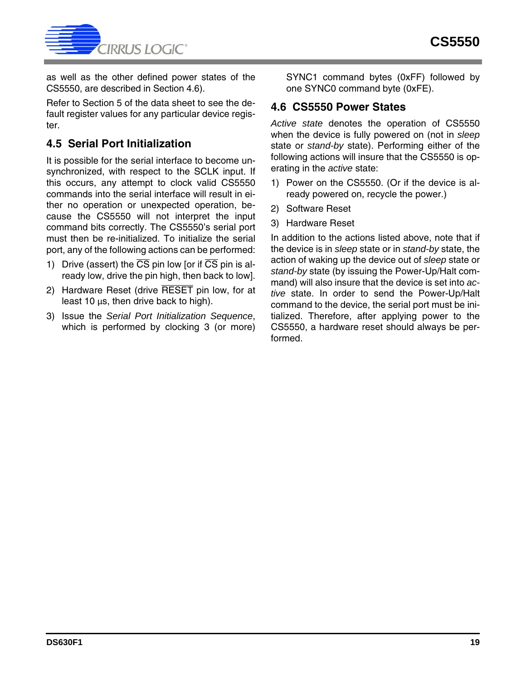

as well as the other defined power states of the CS5550, are described in Section [4.6](#page-18-1)).

Refer to Section [5](#page-19-0) of the data sheet to see the default register values for any particular device register.

# <span id="page-18-0"></span>**4.5 Serial Port Initialization**

It is possible for the serial interface to become unsynchronized, with respect to the SCLK input. If this occurs, any attempt to clock valid CS5550 commands into the serial interface will result in either no operation or unexpected operation, because the CS5550 will not interpret the input command bits correctly. The CS5550's serial port must then be re-initialized. To initialize the serial port, any of the following actions can be performed:

- 1) Drive (assert) the  $\overline{\text{CS}}$  pin low [or if  $\overline{\text{CS}}$  pin is already low, drive the pin high, then back to low].
- 2) Hardware Reset (drive RESET pin low, for at least 10 µs, then drive back to high).
- 3) Issue the *Serial Port Initialization Sequence*, which is performed by clocking 3 (or more)

SYNC1 command bytes (0xFF) followed by one SYNC0 command byte (0xFE).

### <span id="page-18-1"></span>**4.6 CS5550 Power States**

*Active state* denotes the operation of CS5550 when the device is fully powered on (not in *sleep* state or *stand-by* state). Performing either of the following actions will insure that the CS5550 is operating in the *active* state:

- 1) Power on the CS5550. (Or if the device is already powered on, recycle the power.)
- 2) Software Reset
- 3) Hardware Reset

In addition to the actions listed above, note that if the device is in *sleep* state or in *stand-by* state, the action of waking up the device out of *sleep* state or *stand-by* state (by issuing the Power-Up/Halt command) will also insure that the device is set into *active* state. In order to send the Power-Up/Halt command to the device, the serial port must be initialized. Therefore, after applying power to the CS5550, a hardware reset should always be performed.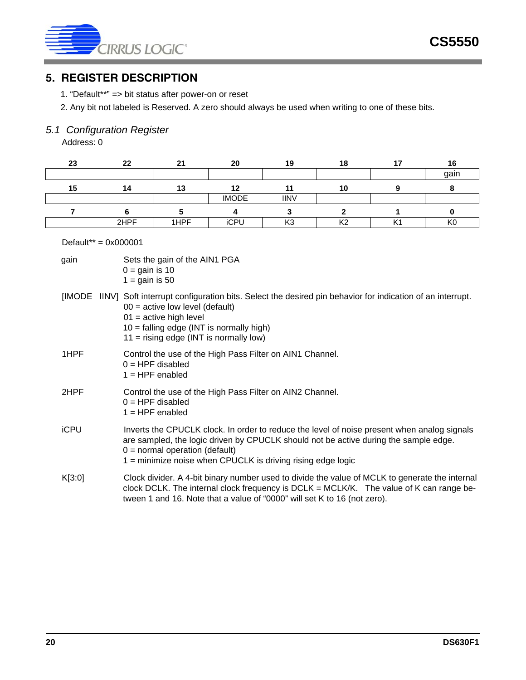

### <span id="page-19-0"></span>**5. REGISTER DESCRIPTION**

- 1. "Default\*\*" => bit status after power-on or reset
- 2. Any bit not labeled is Reserved. A zero should always be used when writing to one of these bits.

# <span id="page-19-1"></span>*5.1 Configuration Register*

Address: 0

| 23 | 22   | 21   | 20           | 19          | 18           |    | 16   |
|----|------|------|--------------|-------------|--------------|----|------|
|    |      |      |              |             |              |    | gain |
| 15 | 14.  | 13   | 12           |             | 10           |    |      |
|    |      |      | <b>IMODE</b> | <b>IINV</b> |              |    |      |
|    |      |      |              |             |              |    |      |
|    | 2HPF | 1HPF | iCPU         | מ∕ו<br>rvo  | $\mathbf{v}$ | K1 | ĸι   |

#### Default\*\* = 0x000001

| gain          | Sets the gain of the AIN1 PGA<br>$0 =$ gain is 10<br>$1 =$ gain is 50                                                                                                                                                                                                                  |
|---------------|----------------------------------------------------------------------------------------------------------------------------------------------------------------------------------------------------------------------------------------------------------------------------------------|
| <b>IIMODE</b> | IINV] Soft interrupt configuration bits. Select the desired pin behavior for indication of an interrupt.<br>$00 =$ active low level (default)<br>$01$ = active high level<br>$10 =$ falling edge (INT is normally high)<br>$11 =$ rising edge (INT is normally low)                    |
| 1HPF          | Control the use of the High Pass Filter on AIN1 Channel.<br>$0 = HPF$ disabled<br>$1 = HPF$ enabled                                                                                                                                                                                    |
| 2HPF          | Control the use of the High Pass Filter on AIN2 Channel.<br>$0 = HPF$ disabled<br>$1 = HPF$ enabled                                                                                                                                                                                    |
| <b>iCPU</b>   | Inverts the CPUCLK clock. In order to reduce the level of noise present when analog signals<br>are sampled, the logic driven by CPUCLK should not be active during the sample edge.<br>$0 =$ normal operation (default)<br>1 = minimize noise when CPUCLK is driving rising edge logic |
| K[3:0]        | Clock divider. A 4-bit binary number used to divide the value of MCLK to generate the internal<br>clock DCLK. The internal clock frequency is DCLK = MCLK/K. The value of K can range be-<br>tween 1 and 16. Note that a value of "0000" will set K to 16 (not zero).                  |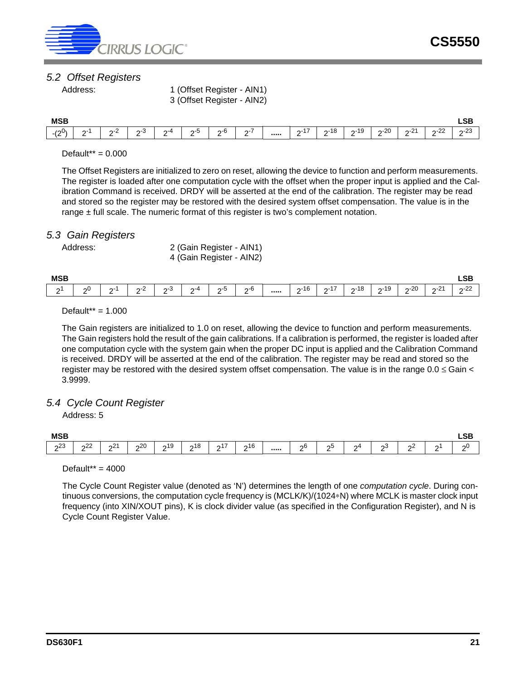

#### <span id="page-20-0"></span>*5.2 Offset Registers*

Address: 1 (Offset Register - AIN1) 3 (Offset Register - AIN2)

| <b>MSB</b>                |             |               |                     |                 |                                       |                        |                  |                   |                              |               |                |                                |                        | <b>LSB</b>          |
|---------------------------|-------------|---------------|---------------------|-----------------|---------------------------------------|------------------------|------------------|-------------------|------------------------------|---------------|----------------|--------------------------------|------------------------|---------------------|
| $\sim 0$<br>-1.<br>$\sim$ | $\sim$<br>- | ◠<br>י^-<br>- | $\sim$<br>ن- ہ<br>- | ~-4<br><u>.</u> | $\overline{\phantom{0}}$<br>_ი-ხ<br>- | $\epsilon$<br>റ-0<br>- | -<br>$\sim$<br>- | <br>$22 - 1$<br>- | $\overline{40}$<br>n-10<br>- | $n - 19$<br>- | $20 - 20$<br>- | $\sim$<br>ົ <u>ດ-</u> ∠ົ.<br>- | ററ<br>n-44<br><u>_</u> | $\sim$<br>റ-∠ാ<br>- |

#### Default\*\* = 0.000

The Offset Registers are initialized to zero on reset, allowing the device to function and perform measurements. The register is loaded after one computation cycle with the offset when the proper input is applied and the Calibration Command is received. DRDY will be asserted at the end of the calibration. The register may be read and stored so the register may be restored with the desired system offset compensation. The value is in the range ± full scale. The numeric format of this register is two's complement notation.

#### <span id="page-20-1"></span>*5.3 Gain Registers*

Address: 2 (Gain Register - AIN1) 4 (Gain Register - AIN2)

| <b>MSB</b> |          |             |              |                    |          |          |                                  |                        |                              |           |                      |                |                                       | <b>LSB</b>         |
|------------|----------|-------------|--------------|--------------------|----------|----------|----------------------------------|------------------------|------------------------------|-----------|----------------------|----------------|---------------------------------------|--------------------|
| r<br>-     | ົດບ<br>- | $\sim$<br>- | ⌒<br>າ∹∠<br> | $\sim$<br>ი-პ<br>_ | ∩-4<br>- | ∩∹.<br>- | -ი-ხ<br>$\overline{\phantom{0}}$ | <br>AC<br>$2 - 10$<br> | $\rightarrow$<br>$\sim$<br>- | ი-18<br>- | $n - 19$<br>. ט<br>- | $20 - 20$<br>- | $\sim$<br>$\sim$<br>. <u>.</u> .<br>- | $\sim$<br>つこム<br>- |

Default\*\* = 1.000

The Gain registers are initialized to 1.0 on reset, allowing the device to function and perform measurements. The Gain registers hold the result of the gain calibrations. If a calibration is performed, the register is loaded after one computation cycle with the system gain when the proper DC input is applied and the Calibration Command is received. DRDY will be asserted at the end of the calibration. The register may be read and stored so the register may be restored with the desired system offset compensation. The value is in the range  $0.0 \leq$  Gain  $\lt$ 3.9999.

#### <span id="page-20-2"></span>*5.4 Cycle Count Register*

Address: 5

| <b>MSB</b> |               |                       |                      |                            |                            |                                |                |                   |   |         |         |   |                   | <b>CD</b><br>ᄓ<br>$\sim$ $\sim$ |
|------------|---------------|-----------------------|----------------------|----------------------------|----------------------------|--------------------------------|----------------|-------------------|---|---------|---------|---|-------------------|---------------------------------|
| 23<br>-    | $\sim$<br>∩∠∠ | $\sim$<br>$\sim$<br>- | $\Omega$<br>າ∠∪<br>- | $\overline{A}$<br>ດ∣ສ<br>- | $\Delta$<br>$\sim$ 10<br>- | $\rightarrow$<br>$\Omega$<br>- | $\sim$ 16<br>- | <br>$\sim 6$<br>- | ഹ | ∩4<br>- | ია<br>- | ഹ | $\mathbf{a}$<br>- | റ∪<br>-                         |

Default\*\* = 4000

The Cycle Count Register value (denoted as 'N') determines the length of one *computation cycle*. During continuous conversions, the computation cycle frequency is (MCLK/K)/(1024∗N) where MCLK is master clock input frequency (into XIN/XOUT pins), K is clock divider value (as specified in the Configuration Register), and N is Cycle Count Register Value.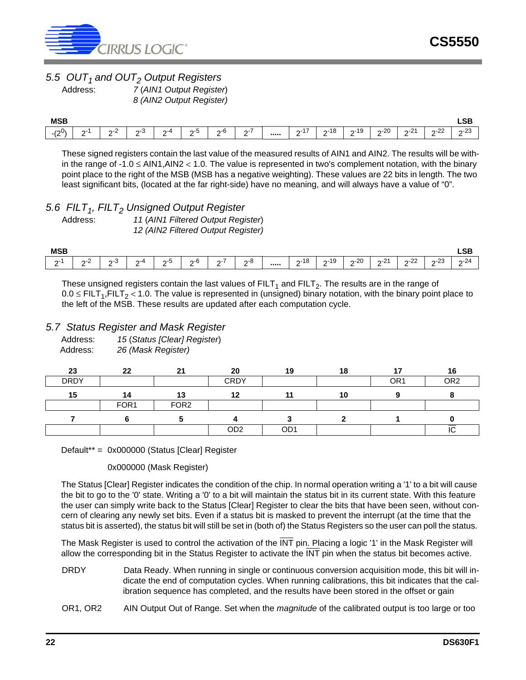

# <span id="page-21-0"></span>*5.5 OUT<sub>1</sub> and OUT<sub>2</sub> Output Registers*<br>*7 (AIN1 Output Registe*

Address: *7* (*AIN1 Output Register*) *8 (AIN2 Output Register)*

| <b>MSB</b>           |             |                         |                    |                |                                       |                 |                                                    |                          |                      |                      |          |                    |                  | LSB.              |
|----------------------|-------------|-------------------------|--------------------|----------------|---------------------------------------|-----------------|----------------------------------------------------|--------------------------|----------------------|----------------------|----------|--------------------|------------------|-------------------|
| $\sim$<br>/00۱<br>ιZ | $\sim$<br>- | $\sim$<br><u>.</u><br>- | $\sim$<br>ი-ა<br>- | $\sim$ -4<br>- | $\overline{\phantom{0}}$<br>_ი-ნ<br>- | ი-6<br><u>.</u> | $\overline{\phantom{a}}$<br>$\sim$ - $\prime$<br>- | <br>47<br>$\sim$ -1<br>- | 40<br>n-18<br>.<br>- | $n - 19$<br><u>_</u> | $n - 20$ | $\sim$<br>∩-∠<br>- | ററ<br>n-22<br>-- | ົດຕ<br>ב∠- ה<br>- |

These signed registers contain the last value of the measured results of AIN1 and AIN2. The results will be within the range of -1.0 ≤ AIN1,AIN2 < 1.0. The value is represented in two's complement notation, with the binary point place to the right of the MSB (MSB has a negative weighting). These values are 22 bits in length. The two least significant bits, (located at the far right-side) have no meaning, and will always have a value of "0".

#### <span id="page-21-1"></span>5.6 FILT<sub>1</sub>, FILT<sub>2</sub> Unsigned Output Register

| Address: | 11 (AIN1 Filtered Output Register) |
|----------|------------------------------------|
|          | 12 (AIN2 Filtered Output Register) |

| <b>MSB</b> |                     |                                |                |     |                |                                         |          |                                                    |                                       |                |                       |                    |                   | <b>LSB</b>  |
|------------|---------------------|--------------------------------|----------------|-----|----------------|-----------------------------------------|----------|----------------------------------------------------|---------------------------------------|----------------|-----------------------|--------------------|-------------------|-------------|
| n-1<br>-   | $\sim$<br>י בר<br>- | $\sim$<br>$\sim$ - $\sim$<br>- | $\sim$ -4<br>- | כ-ר | $\sim$<br>-ი-ნ | $\overline{\phantom{a}}$<br>$\sim$<br>- | c<br>າ-ອ | <br>$\overline{4}$ $\overline{0}$<br>$2 - 18$<br>- | $\Lambda$<br>יט<br>$\sim$<br>ت ו<br>- | $20 - 20$<br>- | $\Omega$<br>י∠-מ<br>- | $\sim$<br>つこく<br>- | 23<br>$\sim$<br>- | $2-24$<br>- |

These unsigned registers contain the last values of  $FILT<sub>1</sub>$  and  $FILT<sub>2</sub>$ . The results are in the range of  $0.0 \leq$  FILT<sub>1</sub>,FILT<sub>2</sub> < 1.0. The value is represented in (unsigned) binary notation, with the binary point place to the left of the MSB. These results are updated after each computation cycle.

#### <span id="page-21-2"></span>*5.7 Status Register and Mask Register*

| Address: | 15 (Status [Clear] Register) |
|----------|------------------------------|
| Address: | 26 (Mask Register)           |

| 23          | 22               | 21               | 20              | 19              | 18 | 17              | 16              |
|-------------|------------------|------------------|-----------------|-----------------|----|-----------------|-----------------|
| <b>DRDY</b> |                  |                  | <b>CRDY</b>     |                 |    | OR <sub>1</sub> | OR <sub>2</sub> |
| 15          | 14               | 13               | 12              |                 | 10 |                 |                 |
|             | FOR <sub>1</sub> | FOR <sub>2</sub> |                 |                 |    |                 |                 |
|             |                  |                  |                 |                 |    |                 |                 |
|             |                  |                  | OD <sub>2</sub> | OD <sub>1</sub> |    |                 | טו              |

Default\*\* = 0x000000 (Status [Clear] Register

0x000000 (Mask Register)

The Status [Clear] Register indicates the condition of the chip. In normal operation writing a '1' to a bit will cause the bit to go to the '0' state. Writing a '0' to a bit will maintain the status bit in its current state. With this feature the user can simply write back to the Status [Clear] Register to clear the bits that have been seen, without concern of clearing any newly set bits. Even if a status bit is masked to prevent the interrupt (at the time that the status bit is asserted), the status bit will still be set in (both of) the Status Registers so the user can poll the status.

The Mask Register is used to control the activation of the INT pin. Placing a logic '1' in the Mask Register will allow the corresponding bit in the Status Register to activate the  $\overline{\text{INT}}$  pin when the status bit becomes active.

- DRDY Data Ready. When running in single or continuous conversion acquisition mode, this bit will indicate the end of computation cycles. When running calibrations, this bit indicates that the calibration sequence has completed, and the results have been stored in the offset or gain
- OR1, OR2 AIN Output Out of Range. Set when the *magnitude* of the calibrated output is too large or too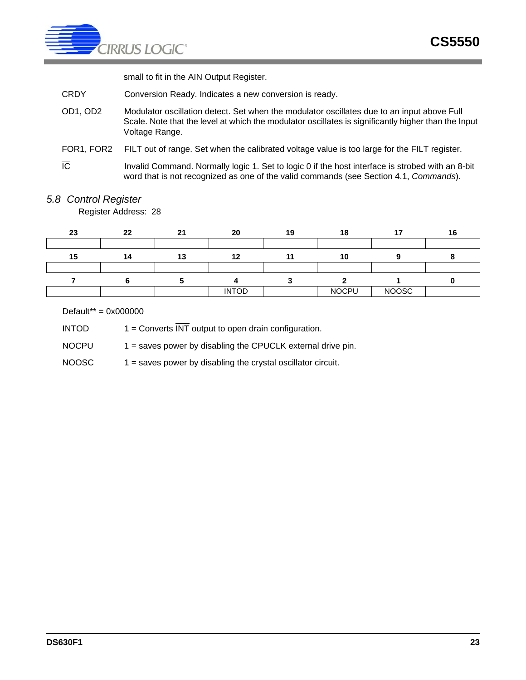

small to fit in the AIN Output Register.

- CRDY Conversion Ready. Indicates a new conversion is ready.
- OD1, OD2 Modulator oscillation detect. Set when the modulator oscillates due to an input above Full Scale. Note that the level at which the modulator oscillates is significantly higher than the Input Voltage Range.
- FOR1, FOR2 FILT out of range. Set when the calibrated voltage value is too large for the FILT register.
- $\overline{IC}$  Invalid Command. Normally logic 1. Set to logic 0 if the host interface is strobed with an 8-bit word that is not recognized as one of the valid commands (see Section [4.1,](#page-14-1) *Commands*).

#### <span id="page-22-0"></span>*5.8 Control Register*

Register Address: 28

| 23 | 22 | 21 | 20           | 19 | 18           | $\overline{\phantom{a}}$ |  |
|----|----|----|--------------|----|--------------|--------------------------|--|
|    |    |    |              |    |              |                          |  |
| 15 | 14 | 42 | 4 C          |    | 10           |                          |  |
|    |    |    |              |    |              |                          |  |
|    |    |    |              |    |              |                          |  |
|    |    |    | <b>INTOD</b> |    | <b>NOCPU</b> | <b>NOOSC</b>             |  |

Default\*\* = 0x000000

INTOD  $1 =$  Converts  $\overline{\text{INT}}$  output to open drain configuration.

NOCPU  $1 =$  saves power by disabling the CPUCLK external drive pin.

 $NOOSC$  1 = saves power by disabling the crystal oscillator circuit.